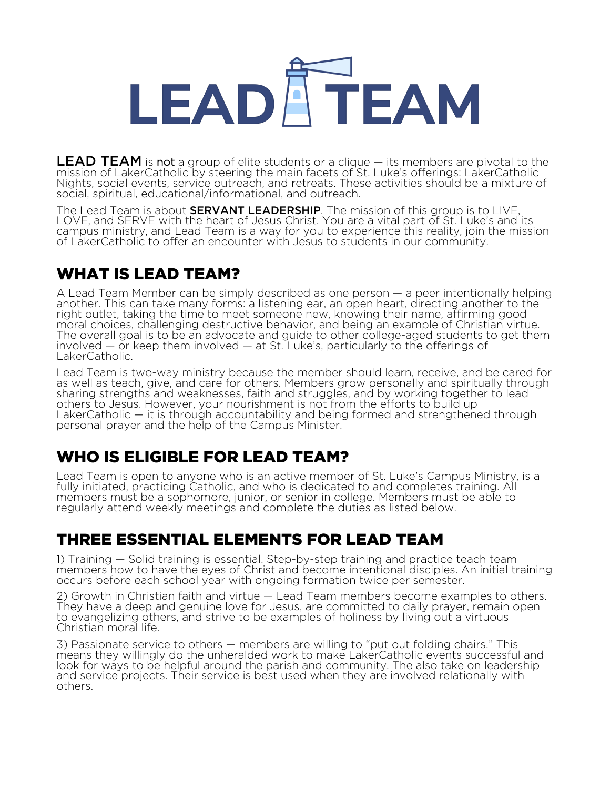## LEADATEAM

**LEAD TEAM** is not a group of elite students or a clique  $-$  its members are pivotal to the mission of LakerCatholic by steering the main facets of St. Luke's offerings: LakerCatholic Nights, social events, service outreach, and retreats. These activities should be a mixture of social, spiritual, educational/informational, and outreach.

The Lead Team is about **SERVANT LEADERSHIP**. The mission of this group is to LIVE, LOVE, and SERVE with the heart of Jesus Christ. You are a vital part of St. Luke's and its campus ministry, and Lead Team is a way for you to experience this reality, join the mission of LakerCatholic to offer an encounter with Jesus to students in our community.

#### WHAT IS LEAD TEAM?

A Lead Team Member can be simply described as one person — a peer intentionally helping another. This can take many forms: a listening ear, an open heart, directing another to the right outlet, taking the time to meet someone new, knowing their name, affirming good<br>moral choices, challenging destructive behavior, and being an example of Christian virtue. The overall goal is to be an advocate and guide to other college-aged students to get them involved  $-$  or keep them involved  $-$  at St. Luke's, particularly to the offerings of LakerCatholic.

Lead Team is two-way ministry because the member should learn, receive, and be cared for as well as teach, give, and care for others. Members grow personally and spiritually through sharing strengths and weaknesses, faith and struggles, and by working together to lead others to Jesus. However, your nourishment is not from the efforts to build up LakerCatholic — it is through accountability and being formed and strengthened through personal prayer and the help of the Campus Minister.

#### WHO IS ELIGIBLE FOR LEAD TEAM?

Lead Team is open to anyone who is an active member of St. Luke's Campus Ministry, is a fully initiated, practicing Catholic, and who is dedicated to and completes training. All members must be a sophomore, junior, or senior in college. Members must be able to regularly attend weekly meetings and complete the duties as listed below.

#### THREE ESSENTIAL ELEMENTS FOR LEAD TEAM

1) Training — Solid training is essential. Step-by-step training and practice teach team members how to have the eyes of Christ and become intentional disciples. An initial training occurs before each school year with ongoing formation twice per semester.

2) Growth in Christian faith and virtue — Lead Team members become examples to others. They have a deep and genuine love for Jesus, are committed to daily prayer, remain open to evangelizing others, and strive to be examples of holiness by living out a virtuous Christian moral life.

3) Passionate service to others — members are willing to "put out folding chairs." This means they willingly do the unheralded work to make LakerCatholic events successful and look for ways to be helpful around the parish and community. The also take on leadership and service projects. Their service is best used when they are involved relationally with others.